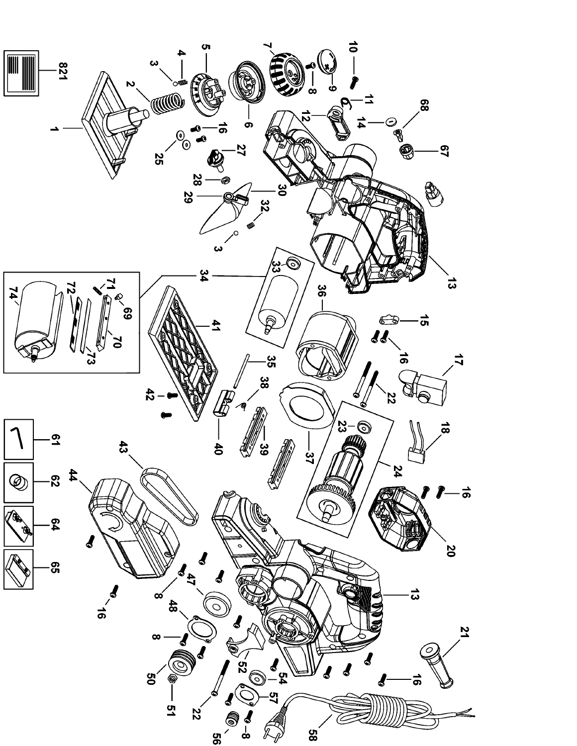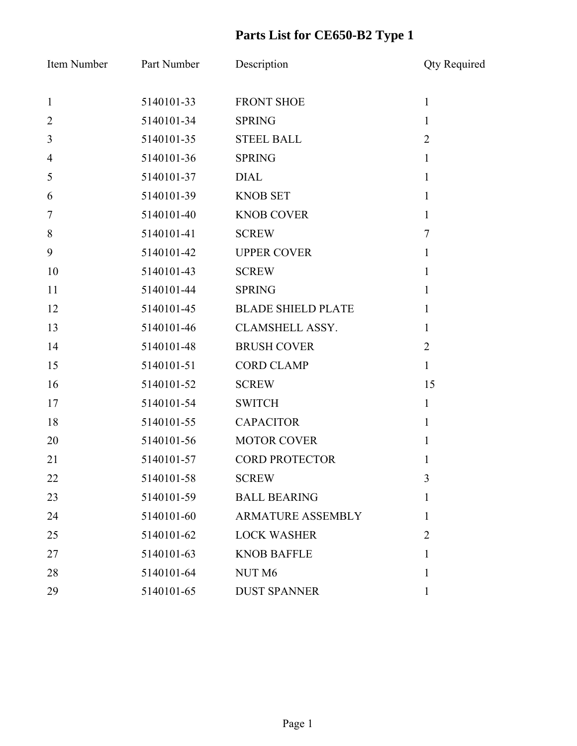## **Parts List for CE650-B2 Type 1**

| Item Number      | Part Number | Description               | <b>Qty Required</b> |
|------------------|-------------|---------------------------|---------------------|
| $\mathbf{1}$     | 5140101-33  | FRONT SHOE                | $\mathbf{1}$        |
| $\overline{2}$   | 5140101-34  | <b>SPRING</b>             | $\mathbf{1}$        |
| $\mathfrak{Z}$   | 5140101-35  | <b>STEEL BALL</b>         | $\overline{2}$      |
| $\overline{4}$   | 5140101-36  | <b>SPRING</b>             | $\mathbf{1}$        |
| 5                | 5140101-37  | <b>DIAL</b>               | $\mathbf{1}$        |
| 6                | 5140101-39  | <b>KNOB SET</b>           | $\mathbf{1}$        |
| $\boldsymbol{7}$ | 5140101-40  | <b>KNOB COVER</b>         | $\mathbf{1}$        |
| 8                | 5140101-41  | <b>SCREW</b>              | $\overline{7}$      |
| 9                | 5140101-42  | <b>UPPER COVER</b>        | $\mathbf{1}$        |
| 10               | 5140101-43  | <b>SCREW</b>              | $\mathbf{1}$        |
| 11               | 5140101-44  | <b>SPRING</b>             | $\mathbf{1}$        |
| 12               | 5140101-45  | <b>BLADE SHIELD PLATE</b> | $\mathbf{1}$        |
| 13               | 5140101-46  | CLAMSHELL ASSY.           | $\mathbf{1}$        |
| 14               | 5140101-48  | <b>BRUSH COVER</b>        | $\overline{2}$      |
| 15               | 5140101-51  | <b>CORD CLAMP</b>         | $\mathbf{1}$        |
| 16               | 5140101-52  | <b>SCREW</b>              | 15                  |
| 17               | 5140101-54  | <b>SWITCH</b>             | $\mathbf{1}$        |
| 18               | 5140101-55  | <b>CAPACITOR</b>          | $\mathbf{1}$        |
| 20               | 5140101-56  | <b>MOTOR COVER</b>        | $\mathbf{1}$        |
| 21               | 5140101-57  | <b>CORD PROTECTOR</b>     | $\mathbf{1}$        |
| 22               | 5140101-58  | <b>SCREW</b>              | 3                   |
| 23               | 5140101-59  | <b>BALL BEARING</b>       | $\mathbf{1}$        |
| 24               | 5140101-60  | <b>ARMATURE ASSEMBLY</b>  | 1                   |
| 25               | 5140101-62  | <b>LOCK WASHER</b>        | $\overline{2}$      |
| 27               | 5140101-63  | <b>KNOB BAFFLE</b>        | 1                   |
| 28               | 5140101-64  | NUT M6                    | 1                   |
| 29               | 5140101-65  | <b>DUST SPANNER</b>       | 1                   |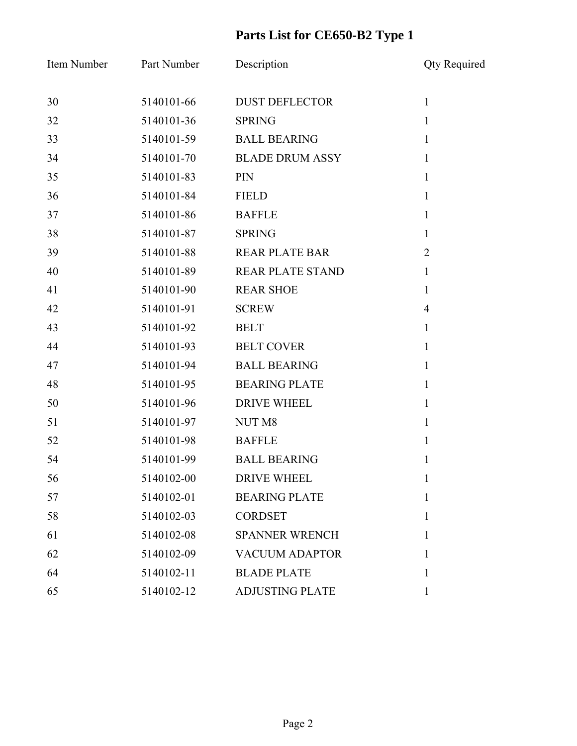## **Parts List for CE650-B2 Type 1**

| Item Number | Part Number | Description             | <b>Qty Required</b> |
|-------------|-------------|-------------------------|---------------------|
| 30          | 5140101-66  | <b>DUST DEFLECTOR</b>   | $\mathbf{1}$        |
| 32          | 5140101-36  | <b>SPRING</b>           | $\mathbf{1}$        |
| 33          | 5140101-59  | <b>BALL BEARING</b>     | $\mathbf{1}$        |
| 34          | 5140101-70  | <b>BLADE DRUM ASSY</b>  | $\mathbf{1}$        |
| 35          | 5140101-83  | <b>PIN</b>              | $\mathbf{1}$        |
| 36          | 5140101-84  | <b>FIELD</b>            | $\mathbf{1}$        |
| 37          | 5140101-86  | <b>BAFFLE</b>           | $\mathbf{1}$        |
| 38          | 5140101-87  | <b>SPRING</b>           | $\mathbf{1}$        |
| 39          | 5140101-88  | <b>REAR PLATE BAR</b>   | $\overline{2}$      |
| 40          | 5140101-89  | <b>REAR PLATE STAND</b> | $\mathbf{1}$        |
| 41          | 5140101-90  | <b>REAR SHOE</b>        | $\mathbf{1}$        |
| 42          | 5140101-91  | <b>SCREW</b>            | $\overline{4}$      |
| 43          | 5140101-92  | <b>BELT</b>             | $\mathbf{1}$        |
| 44          | 5140101-93  | <b>BELT COVER</b>       | $\mathbf{1}$        |
| 47          | 5140101-94  | <b>BALL BEARING</b>     | $\mathbf{1}$        |
| 48          | 5140101-95  | <b>BEARING PLATE</b>    | $\mathbf{1}$        |
| 50          | 5140101-96  | <b>DRIVE WHEEL</b>      | $\mathbf{1}$        |
| 51          | 5140101-97  | NUT M8                  | $\mathbf{1}$        |
| 52          | 5140101-98  | <b>BAFFLE</b>           | $\mathbf{1}$        |
| 54          | 5140101-99  | <b>BALL BEARING</b>     | 1                   |
| 56          | 5140102-00  | <b>DRIVE WHEEL</b>      | $\bf{l}$            |
| 57          | 5140102-01  | <b>BEARING PLATE</b>    | $\mathbf{1}$        |
| 58          | 5140102-03  | <b>CORDSET</b>          | 1                   |
| 61          | 5140102-08  | <b>SPANNER WRENCH</b>   | 1                   |
| 62          | 5140102-09  | <b>VACUUM ADAPTOR</b>   | $\mathbf{1}$        |
| 64          | 5140102-11  | <b>BLADE PLATE</b>      | 1                   |
| 65          | 5140102-12  | <b>ADJUSTING PLATE</b>  | $\mathbf{1}$        |